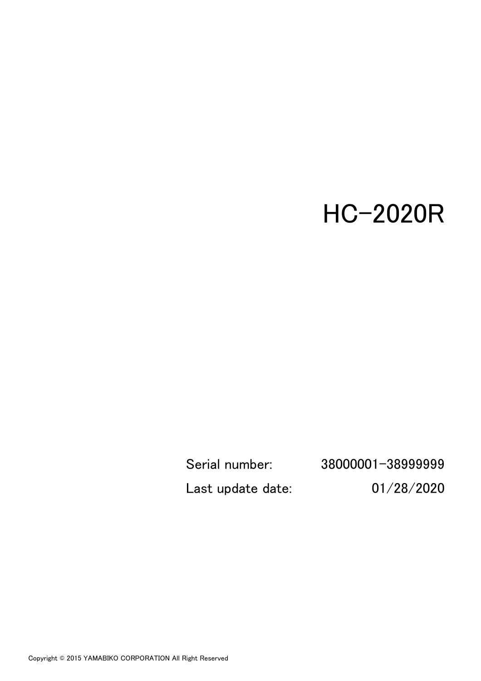# HC-2020R

Serial number: 38000001-38999999 Last update date: 01/28/2020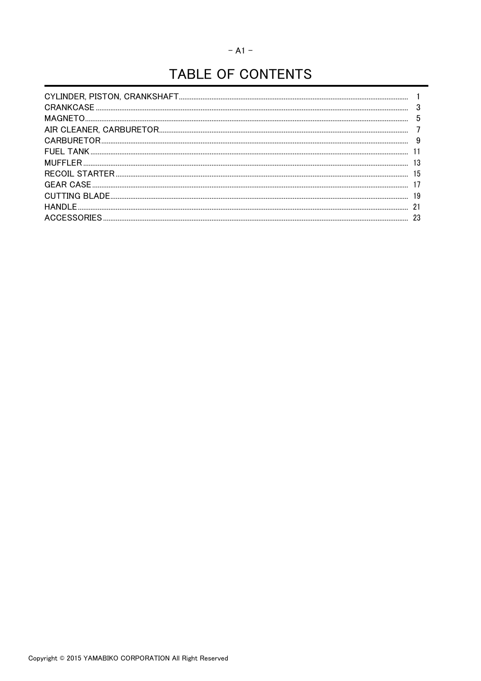# TABLE OF CONTENTS

| 3  |
|----|
| 5  |
|    |
| 9  |
|    |
| 13 |
| 15 |
|    |
| 19 |
| 21 |
| 23 |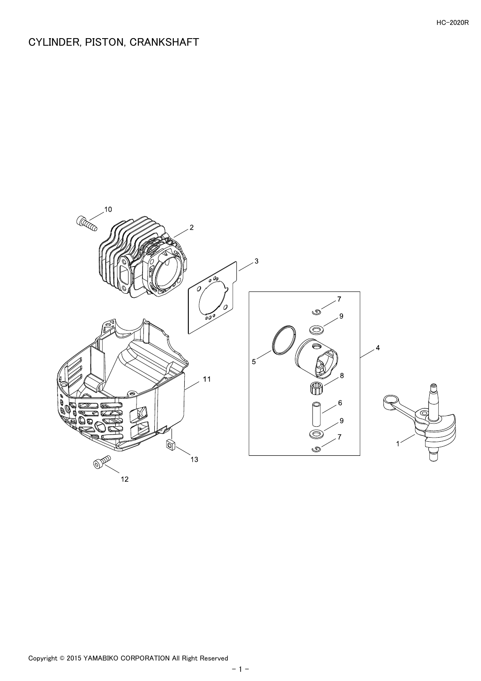# <span id="page-2-0"></span>CYLINDER, PISTON, CRANKSHAFT

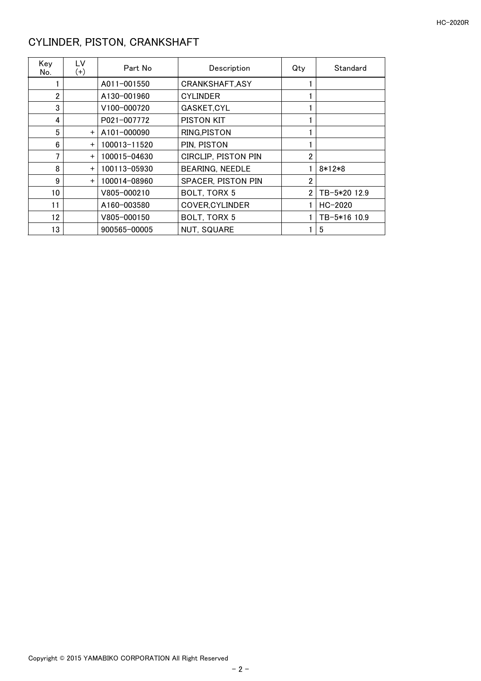# <span id="page-3-0"></span>CYLINDER, PISTON, CRANKSHAFT

| Key<br>No. | LV<br>$^{(+)}$ | Part No      | Description            | Qty | Standard     |
|------------|----------------|--------------|------------------------|-----|--------------|
|            |                | A011-001550  | CRANKSHAFT, ASY        |     |              |
| 2          |                | A130-001960  | <b>CYLINDER</b>        |     |              |
| 3          |                | V100-000720  | GASKET, CYL            |     |              |
| 4          |                | P021-007772  | PISTON KIT             |     |              |
| 5          | $+$            | A101-000090  | RING, PISTON           |     |              |
| 6          | $+$            | 100013-11520 | PIN, PISTON            |     |              |
| 7          | $+$            | 100015-04630 | CIRCLIP, PISTON PIN    | 2   |              |
| 8          | $+$            | 100113-05930 | <b>BEARING, NEEDLE</b> |     | $8*12*8$     |
| 9          | $+$            | 100014-08960 | SPACER, PISTON PIN     | 2   |              |
| 10         |                | V805-000210  | BOLT, TORX 5           | 2   | TB-5*20 12.9 |
| 11         |                | A160-003580  | <b>COVER, CYLINDER</b> |     | $HC-2020$    |
| 12         |                | V805-000150  | BOLT, TORX 5           |     | TB-5*16 10.9 |
| 13         |                | 900565-00005 | <b>NUT, SQUARE</b>     |     | 5            |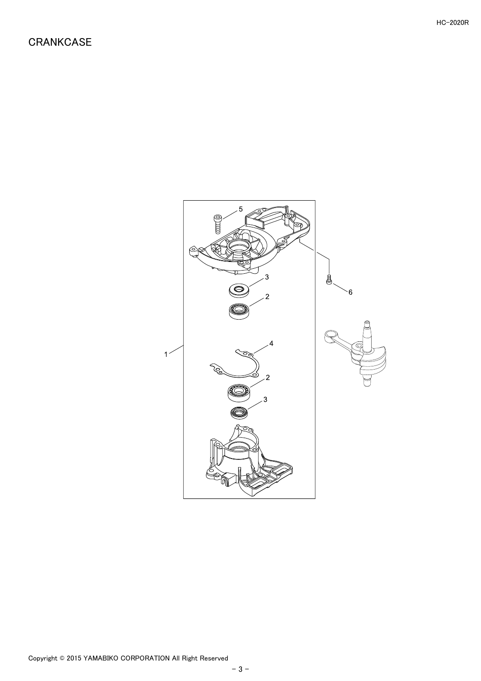<span id="page-4-0"></span>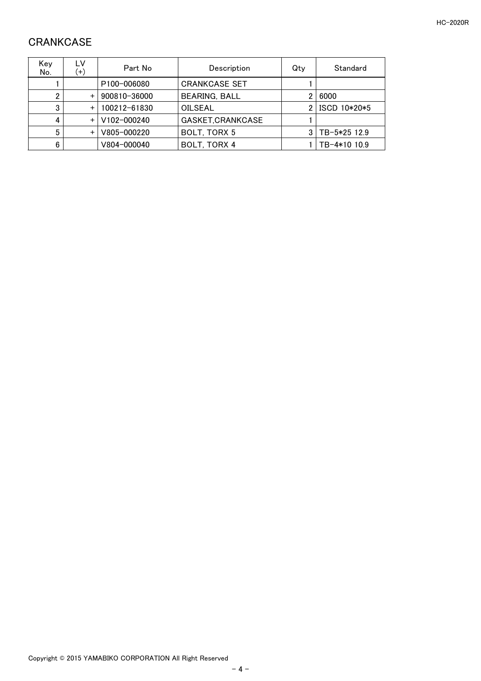# <span id="page-5-0"></span>**CRANKCASE**

| Key<br>No. | LV<br>$(+)$ | Part No                  | Description          | Qtv | Standard     |
|------------|-------------|--------------------------|----------------------|-----|--------------|
|            |             | P <sub>100</sub> -006080 | <b>CRANKCASE SET</b> |     |              |
| 2          | $+$         | 900810-36000             | <b>BEARING, BALL</b> | 2   | 6000         |
| 3          | $+$         | 100212-61830             | OILSEAL              |     | ISCD 10*20*5 |
|            |             | V102-000240              | GASKET, CRANKCASE    |     |              |
| 5          | $+$         | V805-000220              | BOLT, TORX 5         |     | TB-5*25 12.9 |
| 6          |             | V804-000040              | BOLT, TORX 4         |     | TB-4*10 10.9 |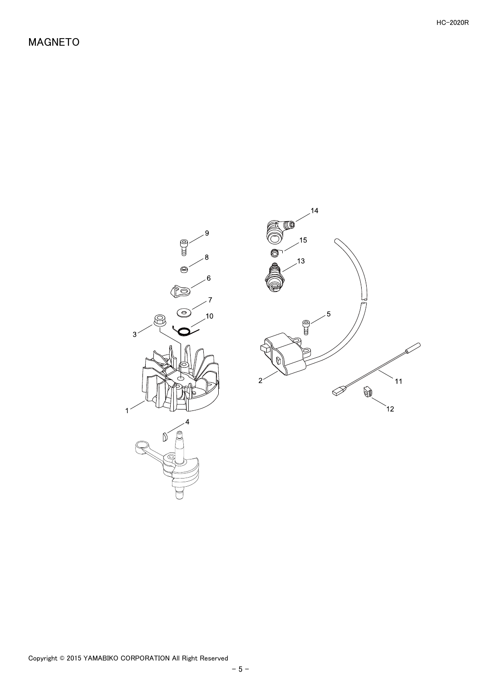<span id="page-6-0"></span>

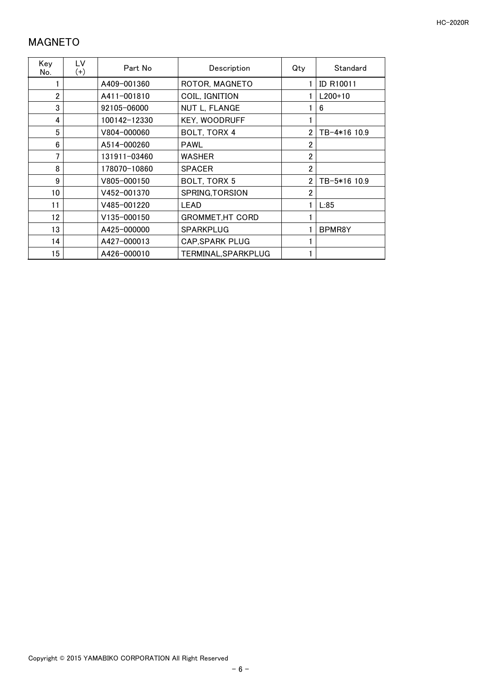#### <span id="page-7-0"></span>MAGNETO

| Key<br>No.      | LV<br>$(+)$ | Part No      | Description             | Qty            | Standard         |
|-----------------|-------------|--------------|-------------------------|----------------|------------------|
|                 |             | A409-001360  | ROTOR, MAGNETO          |                | <b>ID R10011</b> |
| $\overline{2}$  |             | A411-001810  | COIL, IGNITION          |                | $L200+10$        |
| 3               |             | 92105-06000  | NUT L, FLANGE           |                | 6                |
| 4               |             | 100142-12330 | <b>KEY, WOODRUFF</b>    |                |                  |
| 5               |             | V804-000060  | BOLT, TORX 4            | 2              | TB-4*16 10.9     |
| 6               |             | A514-000260  | <b>PAWL</b>             | $\overline{2}$ |                  |
| 7               |             | 131911-03460 | <b>WASHER</b>           | $\overline{2}$ |                  |
| 8               |             | 178070-10860 | <b>SPACER</b>           | $\overline{2}$ |                  |
| 9               |             | V805-000150  | BOLT, TORX 5            | $\overline{2}$ | TB-5*16 10.9     |
| 10 <sup>°</sup> |             | V452-001370  | SPRING, TORSION         | $\overline{2}$ |                  |
| 11              |             | V485-001220  | <b>LEAD</b>             |                | L:85             |
| 12              |             | V135-000150  | <b>GROMMET, HT CORD</b> |                |                  |
| 13              |             | A425-000000  | <b>SPARKPLUG</b>        |                | BPMR8Y           |
| 14              |             | A427-000013  | <b>CAP, SPARK PLUG</b>  |                |                  |
| 15              |             | A426-000010  | TERMINAL, SPARKPLUG     |                |                  |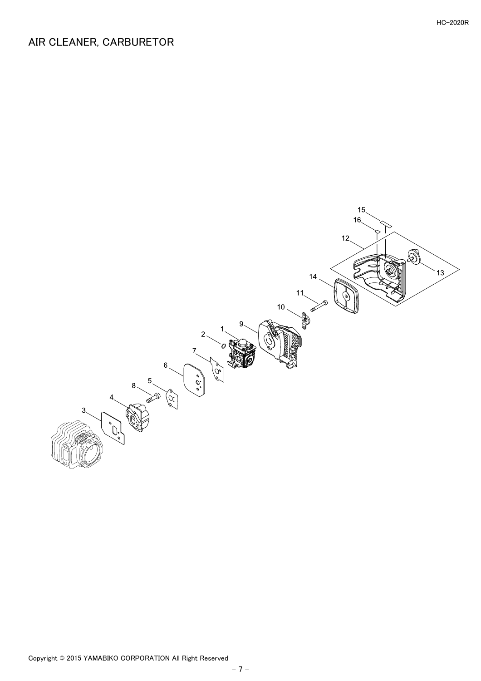# <span id="page-8-0"></span>AIR CLEANER, CARBURETOR

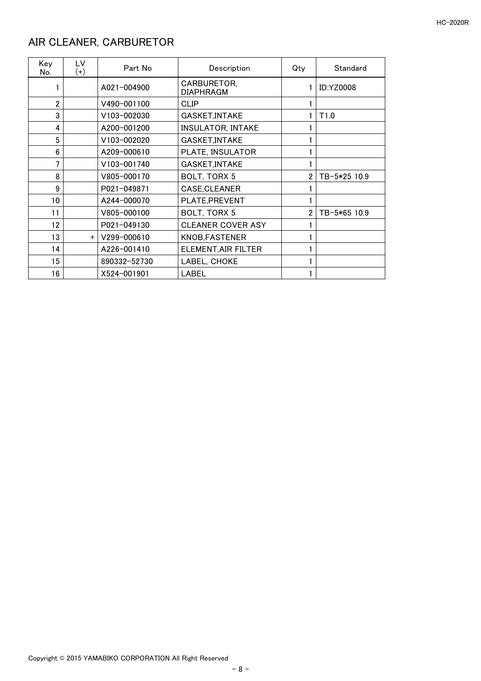# <span id="page-9-0"></span>AIR CLEANER, CARBURETOR

| Key<br>No.     | LV<br>$(+)$ | Part No      | Description                     | Qty            | Standard         |
|----------------|-------------|--------------|---------------------------------|----------------|------------------|
|                |             | A021-004900  | CARBURETOR,<br><b>DIAPHRAGM</b> |                | <b>ID:YZ0008</b> |
| $\overline{2}$ |             | V490-001100  | CLIP                            |                |                  |
| 3              |             | V103-002030  | <b>GASKET, INTAKE</b>           |                | T <sub>1.0</sub> |
| 4              |             | A200-001200  | <b>INSULATOR, INTAKE</b>        |                |                  |
| 5              |             | V103-002020  | GASKET, INTAKE                  |                |                  |
| 6              |             | A209-000610  | PLATE, INSULATOR                |                |                  |
| 7              |             | V103-001740  | GASKET, INTAKE                  |                |                  |
| 8              |             | V805-000170  | BOLT, TORX 5                    | $\overline{2}$ | TB-5*25 10.9     |
| 9              |             | P021-049871  | CASE, CLEANER                   |                |                  |
| 10             |             | A244-000070  | PLATE, PREVENT                  |                |                  |
| 11             |             | V805-000100  | BOLT, TORX 5                    | $\overline{2}$ | TB-5*65 10.9     |
| 12             |             | P021-049130  | <b>CLEANER COVER ASY</b>        |                |                  |
| 13             | $+$         | V299-000610  | <b>KNOB, FASTENER</b>           |                |                  |
| 14             |             | A226-001410  | ELEMENT, AIR FILTER             |                |                  |
| 15             |             | 890332-52730 | LABEL, CHOKE                    |                |                  |
| 16             |             | X524-001901  | <b>LABEL</b>                    |                |                  |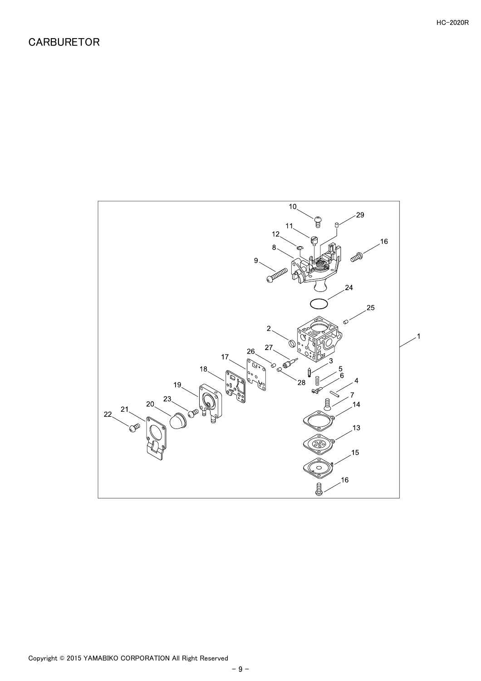<span id="page-10-0"></span>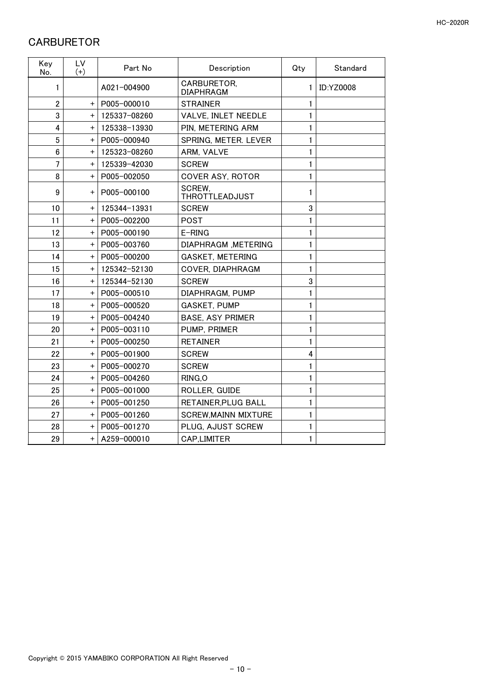#### <span id="page-11-0"></span>**CARBURETOR**

| Key<br>No.     | LV<br>$(+)$ | Part No      | Description                     | Qty            | Standard         |
|----------------|-------------|--------------|---------------------------------|----------------|------------------|
| 1              |             | A021-004900  | CARBURETOR,<br><b>DIAPHRAGM</b> | 1              | <b>ID:YZ0008</b> |
| $\overline{2}$ | $+$         | P005-000010  | <b>STRAINER</b>                 | 1              |                  |
| 3              | $\ddot{}$   | 125337-08260 | VALVE, INLET NEEDLE             | 1              |                  |
| 4              | $\ddot{}$   | 125338-13930 | PIN, METERING ARM               | 1              |                  |
| 5              | $+$         | P005-000940  | SPRING, METER. LEVER            | 1              |                  |
| 6              | $\ddot{}$   | 125323-08260 | ARM, VALVE                      | 1              |                  |
| 7              | $+$         | 125339-42030 | <b>SCREW</b>                    | 1              |                  |
| 8              | $+$         | P005-002050  | <b>COVER ASY, ROTOR</b>         | 1              |                  |
| 9              | $\ddot{}$   | P005-000100  | SCREW.<br><b>THROTTLEADJUST</b> | 1              |                  |
| 10             | $+$         | 125344-13931 | <b>SCREW</b>                    | 3              |                  |
| 11             | $+$         | P005-002200  | <b>POST</b>                     | 1              |                  |
| 12             | $+$         | P005-000190  | E-RING                          | 1              |                  |
| 13             | $\ddot{}$   | P005-003760  | DIAPHRAGM, METERING             | 1              |                  |
| 14             | $+$         | P005-000200  | <b>GASKET, METERING</b>         | 1              |                  |
| 15             | $\ddot{}$   | 125342-52130 | COVER, DIAPHRAGM                | 1              |                  |
| 16             | $+$         | 125344-52130 | <b>SCREW</b>                    | 3              |                  |
| 17             | $\pm$       | P005-000510  | DIAPHRAGM, PUMP                 | 1              |                  |
| 18             | $+$         | P005-000520  | <b>GASKET, PUMP</b>             | 1              |                  |
| 19             | $\ddot{}$   | P005-004240  | <b>BASE, ASY PRIMER</b>         | 1              |                  |
| 20             | $\ddot{}$   | P005-003110  | PUMP, PRIMER                    | 1              |                  |
| 21             | $\ddot{}$   | P005-000250  | <b>RETAINER</b>                 | 1              |                  |
| 22             | $\ddot{}$   | P005-001900  | <b>SCREW</b>                    | $\overline{4}$ |                  |
| 23             | $\ddot{}$   | P005-000270  | <b>SCREW</b>                    | 1              |                  |
| 24             | $\ddot{}$   | P005-004260  | RING, O                         | 1              |                  |
| 25             | $\ddot{}$   | P005-001000  | ROLLER, GUIDE                   | 1              |                  |
| 26             | $\ddot{}$   | P005-001250  | RETAINER, PLUG BALL             | 1              |                  |
| 27             | $+$         | P005-001260  | <b>SCREW, MAINN MIXTURE</b>     | 1              |                  |
| 28             | $\ddot{}$   | P005-001270  | PLUG, AJUST SCREW               | 1              |                  |
| 29             | $+$         | A259-000010  | CAP,LIMITER                     | 1              |                  |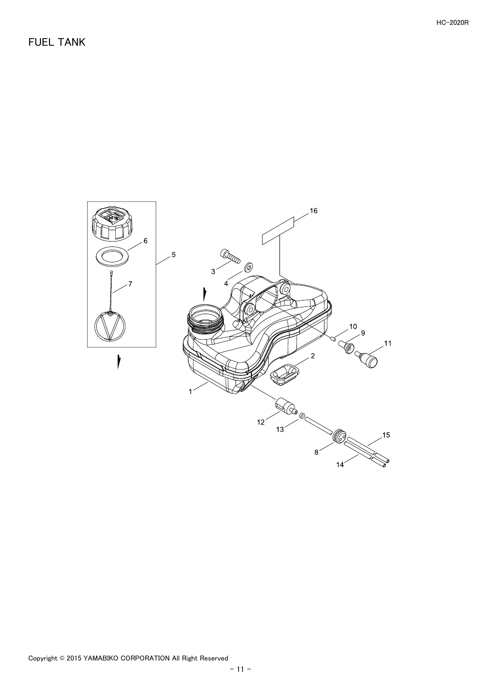<span id="page-12-0"></span>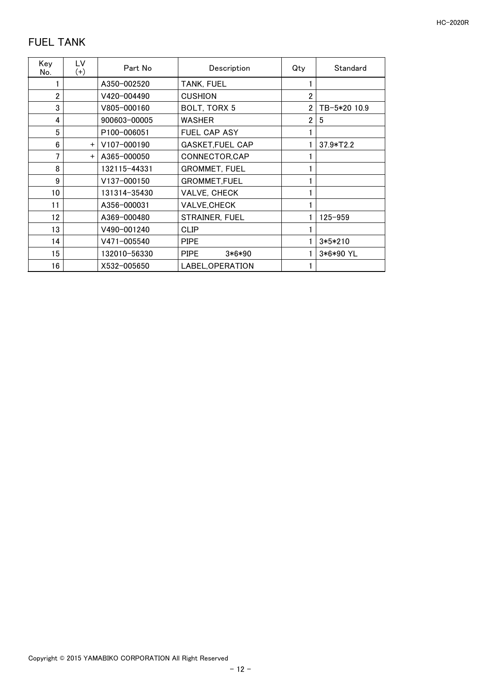## <span id="page-13-0"></span>FUEL TANK

| Key<br>No.     | LV<br>$^{(+)}$ | Part No      | Description             | Qty            | Standard     |
|----------------|----------------|--------------|-------------------------|----------------|--------------|
|                |                | A350-002520  | TANK, FUEL              |                |              |
| $\overline{2}$ |                | V420-004490  | <b>CUSHION</b>          | 2              |              |
| 3              |                | V805-000160  | BOLT, TORX 5            |                | TB-5*20 10.9 |
| 4              |                | 900603-00005 | <b>WASHER</b>           | $\overline{2}$ | 5            |
| 5              |                | P100-006051  | FUEL CAP ASY            |                |              |
| 6              | $+$            | V107-000190  | <b>GASKET, FUEL CAP</b> |                | $37.9*T2.2$  |
| 7              | $+$            | A365-000050  | CONNECTOR, CAP          |                |              |
| 8              |                | 132115-44331 | <b>GROMMET, FUEL</b>    |                |              |
| 9              |                | V137-000150  | <b>GROMMET,FUEL</b>     |                |              |
| 10             |                | 131314-35430 | VALVE, CHECK            |                |              |
| 11             |                | A356-000031  | VALVE, CHECK            |                |              |
| 12             |                | A369-000480  | <b>STRAINER, FUEL</b>   |                | $125 - 959$  |
| 13             |                | V490-001240  | CLIP                    |                |              |
| 14             |                | V471-005540  | <b>PIPE</b>             |                | $3*5*210$    |
| 15             |                | 132010-56330 | <b>PIPE</b><br>$3*6*90$ |                | 3*6*90 YL    |
| 16             |                | X532-005650  | LABEL, OPERATION        |                |              |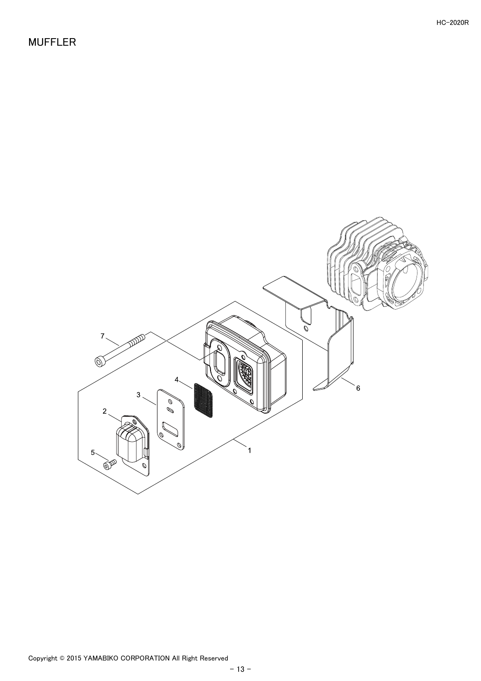<span id="page-14-0"></span>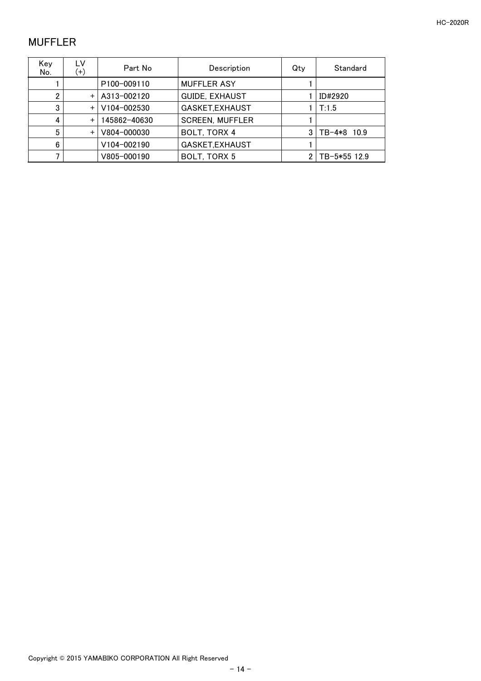#### <span id="page-15-0"></span>MUFFLER

| Kev<br>No. | LV<br>$(+)$ | Part No                  | Description            | Qtv | Standard     |
|------------|-------------|--------------------------|------------------------|-----|--------------|
|            |             | P <sub>100</sub> -009110 | <b>MUFFLER ASY</b>     |     |              |
| 2          | $+$         | A313-002120              | <b>GUIDE, EXHAUST</b>  |     | ID#2920      |
| 3          | $+$         | V104-002530              | GASKET, EXHAUST        |     | T:1.5        |
| 4          | $+$         | 145862-40630             | <b>SCREEN, MUFFLER</b> |     |              |
| 5          | $+$         | V804-000030              | BOLT, TORX 4           |     | TB-4*8 10.9  |
| 6          |             | V104-002190              | GASKET, EXHAUST        |     |              |
|            |             | V805-000190              | BOLT, TORX 5           |     | TB-5*55 12.9 |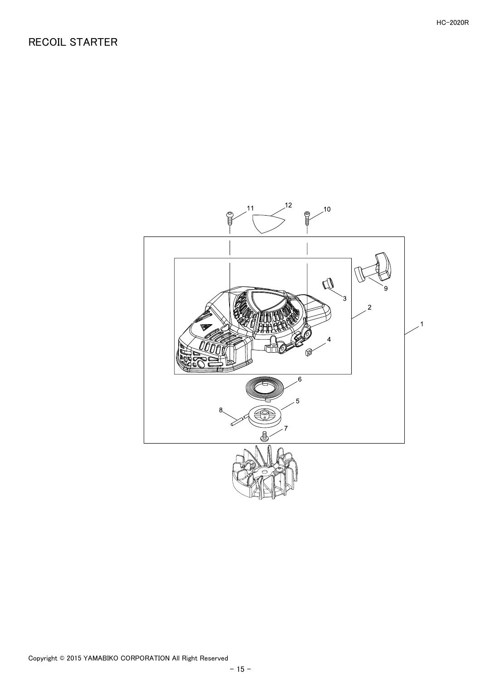#### <span id="page-16-0"></span>RECOIL STARTER

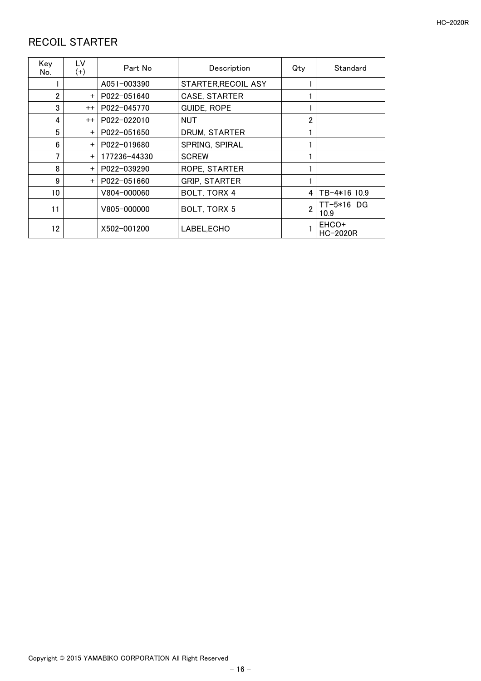## <span id="page-17-0"></span>RECOIL STARTER

| Key<br>No. | LV<br>$^{(+)}$ | Part No      | Description          | Qty            | Standard             |
|------------|----------------|--------------|----------------------|----------------|----------------------|
|            |                | A051-003390  | STARTER, RECOIL ASY  |                |                      |
| 2          | $+$            | P022-051640  | <b>CASE, STARTER</b> |                |                      |
| 3          | $^{++}$        | P022-045770  | <b>GUIDE, ROPE</b>   |                |                      |
| 4          | $^{++}$        | P022-022010  | NUT                  | 2              |                      |
| 5          | $+$            | P022-051650  | DRUM, STARTER        |                |                      |
| 6          | $+$            | P022-019680  | SPRING, SPIRAL       |                |                      |
| 7          | $+$            | 177236-44330 | <b>SCREW</b>         |                |                      |
| 8          | $+$            | P022-039290  | ROPE, STARTER        |                |                      |
| 9          | $+$            | P022-051660  | <b>GRIP, STARTER</b> |                |                      |
| 10         |                | V804-000060  | BOLT, TORX 4         | 4              | TB-4*16 10.9         |
| 11         |                | V805-000000  | BOLT, TORX 5         | $\overline{2}$ | $TT-5*16$ DG<br>10.9 |
| 12         |                | X502-001200  | LABEL.ECHO           |                | EHCO+<br>HC-2020R    |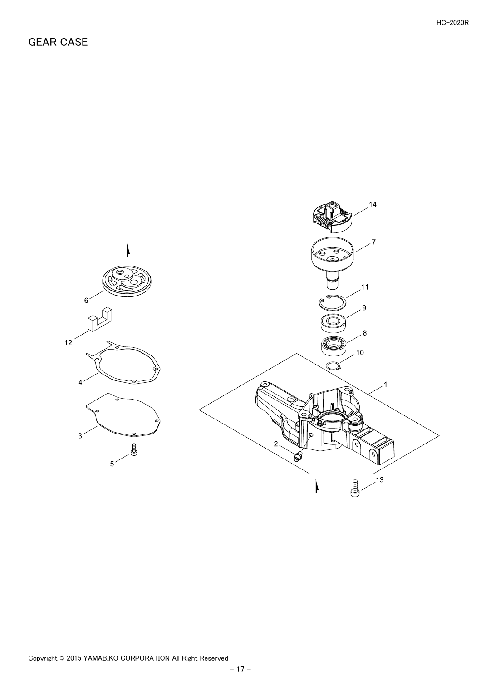<span id="page-18-0"></span>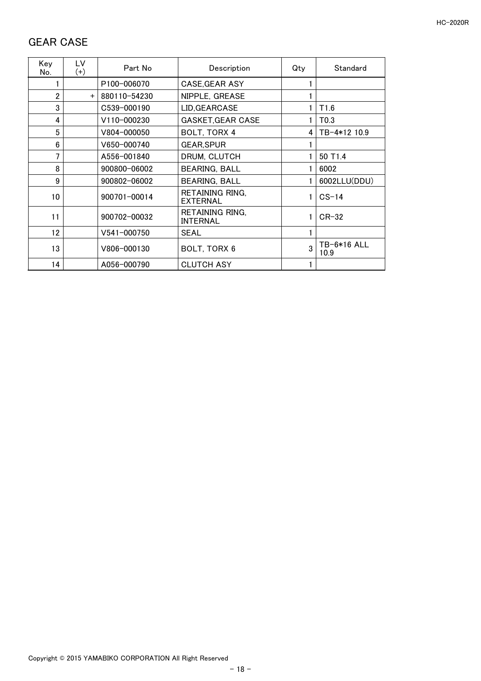#### <span id="page-19-0"></span>GEAR CASE

| Key<br>No.     | LV<br>$(+)$ | Part No         | Description                               | Qty          | Standard            |
|----------------|-------------|-----------------|-------------------------------------------|--------------|---------------------|
|                |             | P100-006070     | CASE, GEAR ASY                            |              |                     |
| $\overline{2}$ | $+$         | 880110-54230    | NIPPLE, GREASE                            |              |                     |
| 3              |             | C539-000190     | LID, GEARCASE                             |              | T1.6                |
| 4              |             | V110-000230     | <b>GASKET, GEAR CASE</b>                  |              | T <sub>0.3</sub>    |
| 5              |             | V804-000050     | BOLT, TORX 4                              | 4            | TB-4*12 10.9        |
| 6              |             | V650-000740     | <b>GEAR, SPUR</b>                         |              |                     |
| 7              |             | A556-001840     | DRUM, CLUTCH                              |              | 50 T <sub>1.4</sub> |
| 8              |             | 900800-06002    | <b>BEARING, BALL</b>                      |              | 6002                |
| 9              |             | 900802-06002    | <b>BEARING, BALL</b>                      |              | 6002LLU(DDU)        |
| 10             |             | 900701-00014    | RETAINING RING.<br><b>EXTERNAL</b>        |              | $CS-14$             |
| 11             |             | 900702-00032    | <b>RETAINING RING,</b><br><b>INTERNAL</b> |              | $CR-32$             |
| 12             |             | $V541 - 000750$ | <b>SEAL</b>                               |              |                     |
| 13             |             | V806-000130     | BOLT, TORX 6                              | $\mathbf{3}$ | TB-6*16 ALL<br>10.9 |
| 14             |             | A056-000790     | <b>CLUTCH ASY</b>                         |              |                     |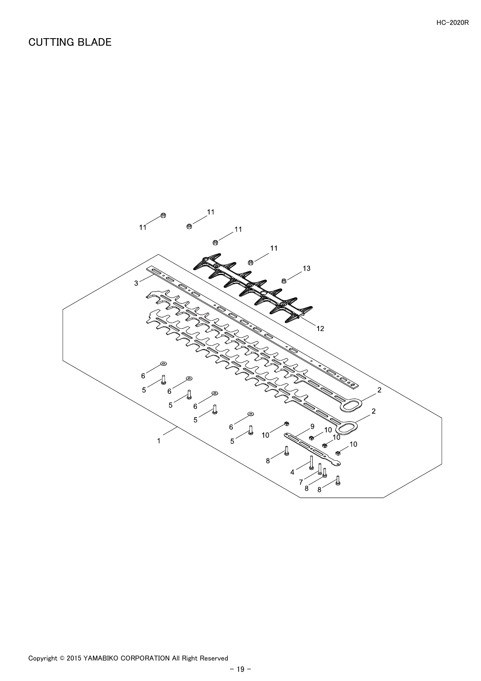# <span id="page-20-0"></span>CUTTING BLADE

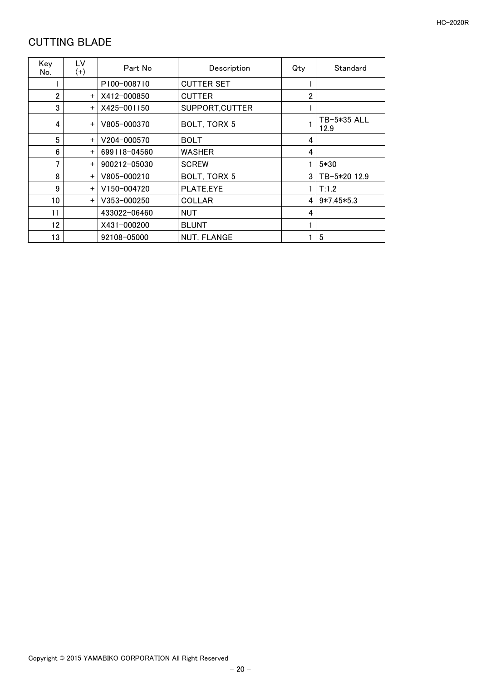## <span id="page-21-0"></span>CUTTING BLADE

| Key<br>No.     | LV<br>$^{(+)}$ | Part No      | Description        | Qty | Standard            |
|----------------|----------------|--------------|--------------------|-----|---------------------|
|                |                | P100-008710  | <b>CUTTER SET</b>  |     |                     |
| $\overline{2}$ | $+$            | X412-000850  | <b>CUTTER</b>      | 2   |                     |
| 3              | $+$            | X425-001150  | SUPPORT, CUTTER    |     |                     |
| 4              | $+$            | V805-000370  | BOLT, TORX 5       |     | TB-5*35 ALL<br>12.9 |
| 5              | $+$            | V204-000570  | <b>BOLT</b>        | 4   |                     |
| 6              | $+$            | 699118-04560 | <b>WASHER</b>      | 4   |                     |
| 7              | $+$            | 900212-05030 | <b>SCREW</b>       |     | $5*30$              |
| 8              | $+$            | V805-000210  | BOLT, TORX 5       | 3   | TB-5*20 12.9        |
| 9              | $+$            | V150-004720  | PLATE,EYE          |     | T:1.2               |
| 10             | $+$            | V353-000250  | <b>COLLAR</b>      | 4   | $9*7.45*5.3$        |
| 11             |                | 433022-06460 | <b>NUT</b>         | 4   |                     |
| 12             |                | X431-000200  | <b>BLUNT</b>       |     |                     |
| 13             |                | 92108-05000  | <b>NUT, FLANGE</b> |     | 5                   |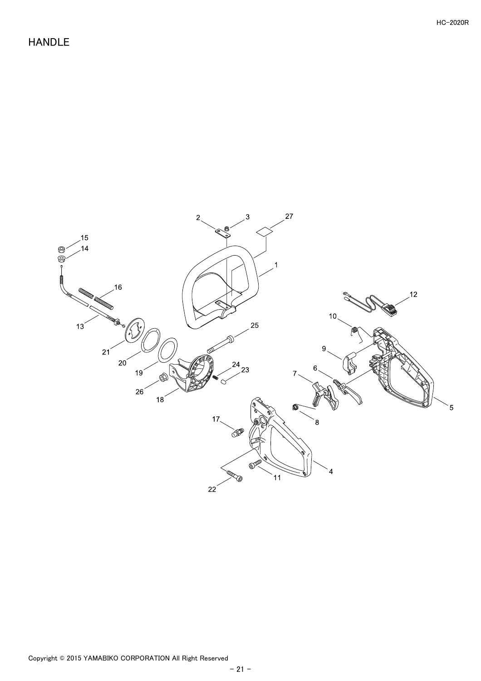#### <span id="page-22-0"></span>HANDLE

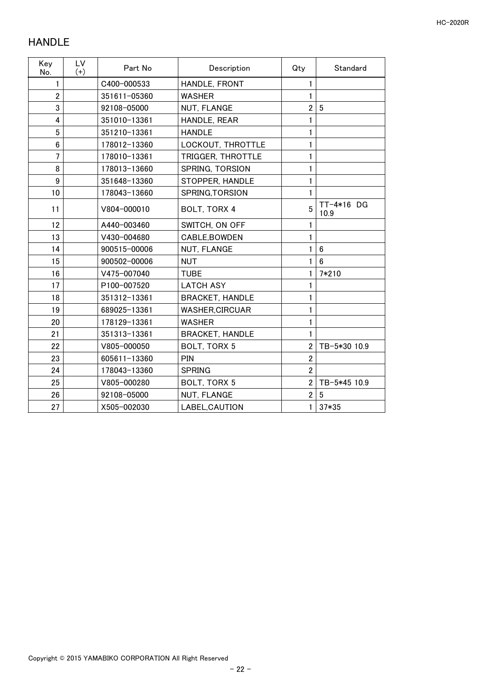## <span id="page-23-0"></span>HANDLE

| Key<br>No.     | LV<br>$(+)$ | Part No      | Description            | Qty            | Standard           |
|----------------|-------------|--------------|------------------------|----------------|--------------------|
| 1              |             | C400-000533  | HANDLE, FRONT          |                |                    |
| $\overline{2}$ |             | 351611-05360 | <b>WASHER</b>          | 1              |                    |
| 3              |             | 92108-05000  | NUT, FLANGE            | $\overline{2}$ | $5\phantom{.0}$    |
| 4              |             | 351010-13361 | HANDLE, REAR           |                |                    |
| 5              |             | 351210-13361 | <b>HANDLE</b>          |                |                    |
| 6              |             | 178012-13360 | LOCKOUT, THROTTLE      |                |                    |
| $\overline{7}$ |             | 178010-13361 | TRIGGER, THROTTLE      | 1              |                    |
| 8              |             | 178013-13660 | SPRING, TORSION        |                |                    |
| 9              |             | 351648-13360 | STOPPER, HANDLE        | 1              |                    |
| 10             |             | 178043-13660 | SPRING, TORSION        | 1              |                    |
| 11             |             | V804-000010  | BOLT, TORX 4           | 5              | TT-4*16 DG<br>10.9 |
| 12             |             | A440-003460  | SWITCH, ON OFF         | 1              |                    |
| 13             |             | V430-004680  | CABLE, BOWDEN          | 1              |                    |
| 14             |             | 900515-00006 | NUT, FLANGE            |                | $6\phantom{1}$     |
| 15             |             | 900502-00006 | <b>NUT</b>             | 1              | 6                  |
| 16             |             | V475-007040  | <b>TUBE</b>            |                | 7*210              |
| 17             |             | P100-007520  | <b>LATCH ASY</b>       |                |                    |
| 18             |             | 351312-13361 | <b>BRACKET, HANDLE</b> |                |                    |
| 19             |             | 689025-13361 | <b>WASHER, CIRCUAR</b> |                |                    |
| 20             |             | 178129-13361 | <b>WASHER</b>          |                |                    |
| 21             |             | 351313-13361 | <b>BRACKET, HANDLE</b> |                |                    |
| 22             |             | V805-000050  | BOLT, TORX 5           | $\overline{2}$ | TB-5*30 10.9       |
| 23             |             | 605611-13360 | PIN                    | $\overline{2}$ |                    |
| 24             |             | 178043-13360 | <b>SPRING</b>          | $\overline{2}$ |                    |
| 25             |             | V805-000280  | BOLT, TORX 5           | $\overline{2}$ | TB-5*45 10.9       |
| 26             |             | 92108-05000  | NUT, FLANGE            | $\overline{2}$ | 5                  |
| 27             |             | X505-002030  | LABEL, CAUTION         | 1              | 37*35              |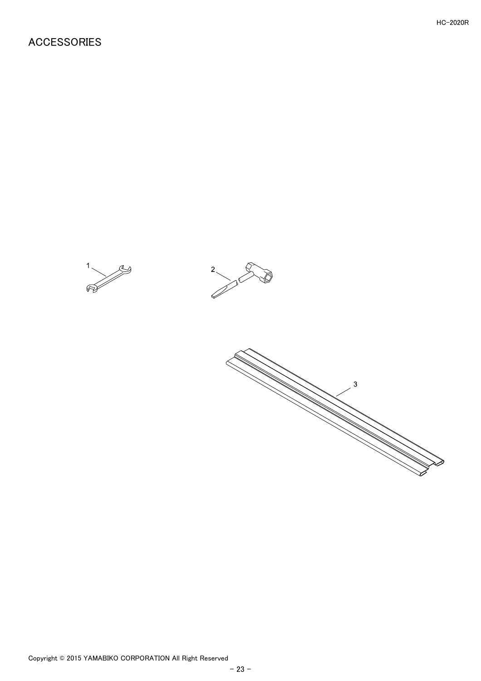#### <span id="page-24-0"></span>ACCESSORIES





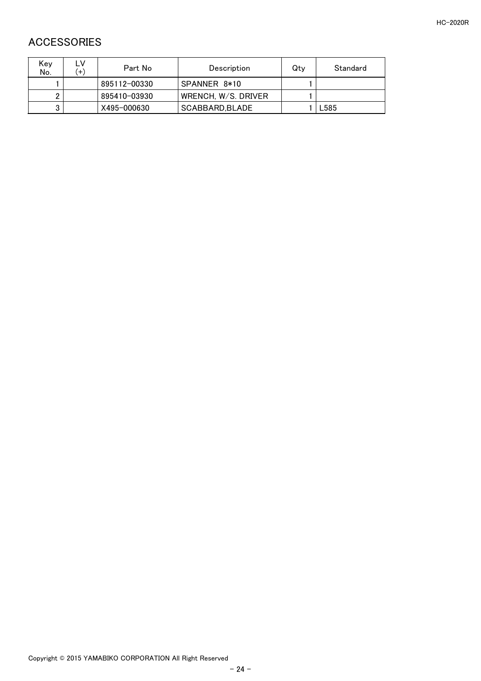#### <span id="page-25-0"></span>ACCESSORIES

| Key<br>No. | $(+)$ | Part No      | Description         | Qtv | Standard |
|------------|-------|--------------|---------------------|-----|----------|
|            |       | 895112-00330 | SPANNER 8*10        |     |          |
|            |       | 895410-03930 | WRENCH, W/S. DRIVER |     |          |
| 3          |       | X495-000630  | SCABBARD.BLADE      |     | L585     |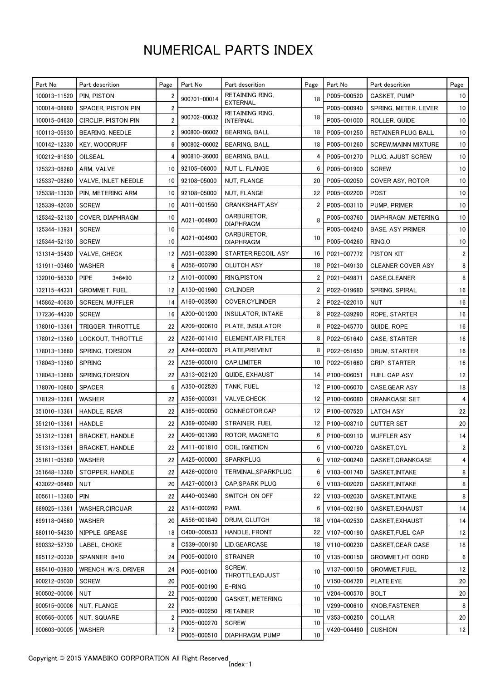# NUMERICAL PARTS INDEX

| Part No      | Part descrition        | Page           | Part No      | Part descrition                    | Page | Part No     | Part descrition             | Page             |
|--------------|------------------------|----------------|--------------|------------------------------------|------|-------------|-----------------------------|------------------|
| 100013-11520 | PIN, PISTON            | 2              | 900701-00014 | RETAINING RING.                    | 18   | P005-000520 | <b>GASKET, PUMP</b>         | 10 <sup>°</sup>  |
| 100014-08960 | SPACER, PISTON PIN     | $\overline{2}$ |              | <b>EXTERNAL</b><br>RETAINING RING. |      | P005-000940 | SPRING, METER. LEVER        | 10               |
| 100015-04630 | CIRCLIP, PISTON PIN    | 2              | 900702-00032 | <b>INTERNAL</b>                    | 18   | P005-001000 | ROLLER, GUIDE               | 10 <sup>10</sup> |
| 100113-05930 | BEARING, NEEDLE        | 2              | 900800-06002 | <b>BEARING, BALL</b>               | 18   | P005-001250 | RETAINER, PLUG BALL         | 10 <sup>°</sup>  |
| 100142-12330 | <b>KEY, WOODRUFF</b>   | 6              | 900802-06002 | BEARING, BALL                      | 18   | P005-001260 | <b>SCREW, MAINN MIXTURE</b> | 10 <sup>10</sup> |
| 100212-61830 | OILSEAL                | 4              | 900810-36000 | BEARING, BALL                      | 4    | P005-001270 | PLUG. AJUST SCREW           | 10               |
| 125323-08260 | ARM, VALVE             | 10             | 92105-06000  | NUT L, FLANGE                      | 6    | P005-001900 | <b>SCREW</b>                | 10 <sup>°</sup>  |
| 125337-08260 | VALVE, INLET NEEDLE    | 10             | 92108-05000  | NUT, FLANGE                        | 20   | P005-002050 | COVER ASY, ROTOR            | 10               |
| 125338-13930 | PIN. METERING ARM      | 10             | 92108-05000  | NUT, FLANGE                        | 22   | P005-002200 | POST                        | 10               |
| 125339-42030 | <b>SCREW</b>           | 10             | A011-001550  | CRANKSHAFT,ASY                     | 2    | P005-003110 | PUMP, PRIMER                | 10               |
| 125342-52130 | COVER, DIAPHRAGM       | 10             | A021-004900  | CARBURETOR,                        | 8    | P005-003760 | DIAPHRAGM , METERING        | 10 <sup>°</sup>  |
| 125344-13931 | <b>SCREW</b>           | 10             |              | <b>DIAPHRAGM</b><br>CARBURETOR,    |      | P005-004240 | <b>BASE, ASY PRIMER</b>     | 10 <sup>°</sup>  |
| 125344-52130 | <b>SCREW</b>           | 10             | A021-004900  | <b>DIAPHRAGM</b>                   | 10   | P005-004260 | RING, O                     | 10 <sup>10</sup> |
| 131314-35430 | VALVE, CHECK           | 12             | A051-003390  | STARTER, RECOIL ASY                | 16   | P021-007772 | PISTON KIT                  | $\overline{2}$   |
| 131911-03460 | <b>WASHER</b>          | 6              | A056-000790  | <b>CLUTCH ASY</b>                  | 18   | P021-049130 | <b>CLEANER COVER ASY</b>    | 8                |
| 132010-56330 | <b>PIPE</b><br>3*6*90  | 12             | A101-000090  | RING, PISTON                       | 2    | P021-049871 | CASE, CLEANER               | 8                |
| 132115-44331 | <b>GROMMET, FUEL</b>   | 12             | A130-001960  | <b>CYLINDER</b>                    | 2    | P022-019680 | SPRING, SPIRAL              | 16               |
| 145862-40630 | <b>SCREEN, MUFFLER</b> | 14             | A160-003580  | COVER, CYLINDER                    | 2    | P022-022010 | <b>NUT</b>                  | 16               |
| 177236-44330 | <b>SCREW</b>           | 16             | A200-001200  | <b>INSULATOR, INTAKE</b>           | 8    | P022-039290 | ROPE, STARTER               | 16               |
| 178010-13361 | TRIGGER, THROTTLE      | 22             | A209-000610  | PLATE, INSULATOR                   | 8    | P022-045770 | GUIDE, ROPE                 | 16               |
| 178012-13360 | LOCKOUT, THROTTLE      | 22             | A226-001410  | ELEMENT, AIR FILTER                | 8    | P022-051640 | CASE, STARTER               | 16               |
| 178013-13660 | SPRING, TORSION        | 22             | A244-000070  | PLATE, PREVENT                     | 8    | P022-051650 | DRUM, STARTER               | 16               |
| 178043-13360 | <b>SPRING</b>          | 22             | A259-000010  | CAP,LIMITER                        | 10   | P022-051660 | <b>GRIP, STARTER</b>        | 16               |
| 178043-13660 | SPRING, TORSION        | 22             | A313-002120  | GUIDE, EXHAUST                     | 14   | P100-006051 | FUEL CAP ASY                | 12               |
| 178070-10860 | <b>SPACER</b>          | 6              | A350-002520  | TANK, FUEL                         | 12   | P100-006070 | CASE, GEAR ASY              | 18               |
| 178129-13361 | WASHER                 | 22             | A356-000031  | <b>VALVE,CHECK</b>                 | 12   | P100-006080 | <b>CRANKCASE SET</b>        | 4                |
| 351010-13361 | HANDLE, REAR           | 22             | A365-000050  | CONNECTOR,CAP                      | 12   | P100-007520 | LATCH ASY                   | 22               |
| 351210-13361 | HANDLE                 | 22             | A369-000480  | STRAINER, FUEL                     | 12   | P100-008710 | <b>CUTTER SET</b>           | 20               |
| 351312-13361 | <b>BRACKET, HANDLE</b> | 22             | A409-001360  | ROTOR, MAGNETO                     | 6    | P100-009110 | <b>MUFFLER ASY</b>          | 14               |
| 351313-13361 | <b>BRACKET, HANDLE</b> | 22             | A411-001810  | COIL, IGNITION                     | 6    | V100-000720 | GASKET, CYL                 | $\overline{2}$   |
| 351611-05360 | WASHER                 | 22             | A425-000000  | <b>SPARKPLUG</b>                   | 6    | V102-000240 | GASKET, CRANKCASE           | 4                |
| 351648-13360 | STOPPER. HANDLE        | 22             | A426-000010  | TERMINAL, SPARKPLUG                | 6    | V103-001740 | GASKET, INTAKE              | 8                |
| 433022-06460 | NUT                    | 20             | A427-000013  | CAP, SPARK PLUG                    | 6    | V103-002020 | GASKET, INTAKE              | 8                |
| 605611-13360 | <b>PIN</b>             | 22             | A440-003460  | SWITCH, ON OFF                     | 22   | V103-002030 | GASKET, INTAKE              | 8                |
| 689025-13361 | <b>WASHER, CIRCUAR</b> | 22             | A514-000260  | <b>PAWL</b>                        | 6    | V104-002190 | GASKET, EXHAUST             | 14               |
| 699118-04560 | WASHER                 | 20             | A556-001840  | DRUM. CLUTCH                       | 18   | V104-002530 | GASKET, EXHAUST             | 14               |
| 880110-54230 | NIPPLE, GREASE         | 18             | C400-000533  | HANDLE, FRONT                      | 22   | V107-000190 | GASKET, FUEL CAP            | 12               |
| 890332-52730 | LABEL, CHOKE           | 8              | C539-000190  | LID, GEARCASE                      | 18   | V110-000230 | GASKET, GEAR CASE           | 18               |
| 895112-00330 | SPANNER 8*10           | 24             | P005-000010  | <b>STRAINER</b>                    | 10   | V135-000150 | <b>GROMMET, HT CORD</b>     | 6                |
| 895410-03930 | WRENCH, W/S. DRIVER    | 24             |              | SCREW.                             |      | V137-000150 | GROMMET, FUEL               | 12               |
| 900212-05030 | <b>SCREW</b>           | 20             | P005-000100  | THROTTLEADJUST                     | 10   | V150-004720 | PLATE,EYE                   | 20               |
| 900502-00006 | NUT                    | 22             | P005-000190  | E-RING                             | 10   | V204-000570 | <b>BOLT</b>                 | 20               |
| 900515-00006 | NUT, FLANGE            | 22             | P005-000200  | GASKET, METERING                   | 10   | V299-000610 | KNOB, FASTENER              | 8                |
| 900565-00005 | NUT, SQUARE            | 2              | P005-000250  | <b>RETAINER</b>                    | 10   | V353-000250 | COLLAR                      | 20               |
| 900603-00005 |                        |                | P005-000270  | <b>SCREW</b>                       | 10   |             |                             |                  |
|              | WASHER                 | 12             | P005-000510  | DIAPHRAGM, PUMP                    | 10   | V420-004490 | <b>CUSHION</b>              | 12               |